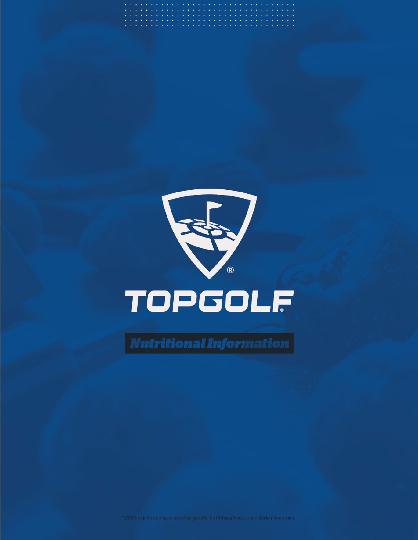

 $\boxed {\textcolor{red}{\textbf{Nutritional Information}} }$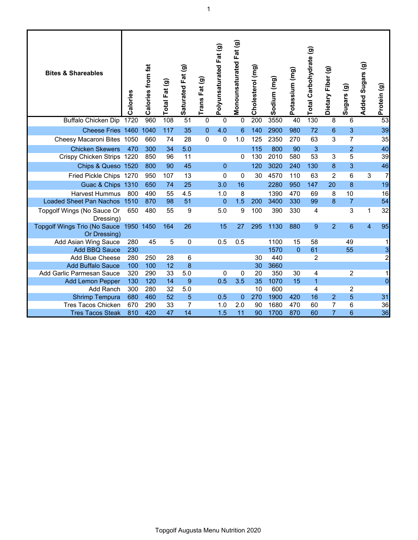| 53<br><b>Buffalo Chicken Dip</b><br>200<br>3550<br>130<br>1720<br>960<br>$\overline{51}$<br>108<br>0<br>0<br>40<br>8<br>6<br>0<br>3<br>39<br>Cheese Fries 1460<br>1040<br>117<br>35<br>4.0<br>6<br>140<br>2900<br>980<br>72<br>6<br>$\overline{0}$<br>$\overline{7}$<br>28<br>$\mathbf 0$<br>1.0<br>2350<br>63<br>3<br>35<br>Cheesy Macaroni Bites 1050<br>660<br>74<br>0<br>125<br>270<br><b>Chicken Skewers</b><br>5.0<br>40<br>470<br>300<br>34<br>115<br>800<br>90<br>3<br>$\overline{2}$<br>53<br>39<br>Crispy Chicken Strips 1220<br>850<br>130<br>2010<br>580<br>5<br>96<br>11<br>0<br>3<br>Chips & Queso 1520<br>45<br>3<br>46<br>800<br>90<br>$\overline{0}$<br>120<br>3020<br>240<br>8<br>130<br>$\overline{7}$<br>Fried Pickle Chips 1270<br>950<br>13<br>4570<br>110<br>2<br>6<br>3<br>107<br>0<br>0<br>30<br>63<br>25<br>16<br>2280<br>19<br>Guac & Chips 1310<br>650<br>3.0<br>950<br>147<br>20<br>8<br>74<br><b>Harvest Hummus</b><br>8<br>10<br>800<br>490<br>55<br>4.5<br>1.0<br>1390<br>470<br>69<br>8<br>16<br>1.5<br><b>Loaded Sheet Pan Nachos</b><br>51<br>$\overline{7}$<br>54<br>1510<br>870<br>98<br>0<br>200<br>3400<br>330<br>99<br>8<br>32<br>9<br>5.0<br>9<br>3<br>Topgolf Wings (No Sauce Or<br>480<br>55<br>100<br>390<br>330<br>4<br>1<br>650<br>Dressing)<br>95<br><b>Topgolf Wings Trio (No Sauce</b><br>27<br>1130<br>9<br>$\overline{2}$<br>6<br>$\overline{4}$<br>1950 1450<br>164<br>26<br>15<br>295<br>880<br>Or Dressing)<br>45<br>5<br>0.5<br>0.5<br>1100<br>15<br>58<br>49<br>Add Asian Wing Sauce<br>280<br>0<br>1<br>1570<br>55<br>3<br><b>Add BBQ Sauce</b><br>230<br>$\Omega$<br>61<br>$\overline{2}$<br>440<br>2<br><b>Add Blue Cheese</b><br>280<br>250<br>28<br>6<br>30<br>3660<br><b>Add Buffalo Sauce</b><br>100<br>100<br>12<br>8<br>30<br>5.0<br>$\overline{2}$<br>Add Garlic Parmesan Sauce<br>320<br>290<br>33<br>$\mathbf{0}$<br>20<br>350<br>4<br>1<br>0<br>30<br>$\overline{0}$<br>0.5<br>3.5<br>35<br>1070<br>$\mathbf{1}$<br><b>Add Lemon Pepper</b><br>130<br>120<br>14<br>9<br>15<br>32<br>5.0<br>600<br>$\overline{4}$<br>2<br><b>Add Ranch</b><br>300<br>280<br>10<br>31<br>5<br><b>Shrimp Tempura</b><br>460<br>52<br>5<br>0.5<br>$\mathbf{0}$<br>270<br>1900<br>420<br>16<br>$\overline{2}$<br>680<br>36<br>7<br>1680<br>6<br><b>Tres Tacos Chicken</b><br>670<br>290<br>33<br>1.0<br>2.0<br>90<br>470<br>60<br>7 | <b>Bites &amp; Shareables</b> | Calories | Calories from fat | Total Fat (g) | Saturated Fat (g) | Trans Fat (g) | Polyunsaturated Fat (g) | Fat(g)<br>Monounsaturated | Cholesterol (mg) | Sodium (mg) | Potassium (mg) | Total Carbohydrate (g) | Dietary Fiber (g) | Sugars (g) | Added Sugars (g) | Protein (g) |
|-------------------------------------------------------------------------------------------------------------------------------------------------------------------------------------------------------------------------------------------------------------------------------------------------------------------------------------------------------------------------------------------------------------------------------------------------------------------------------------------------------------------------------------------------------------------------------------------------------------------------------------------------------------------------------------------------------------------------------------------------------------------------------------------------------------------------------------------------------------------------------------------------------------------------------------------------------------------------------------------------------------------------------------------------------------------------------------------------------------------------------------------------------------------------------------------------------------------------------------------------------------------------------------------------------------------------------------------------------------------------------------------------------------------------------------------------------------------------------------------------------------------------------------------------------------------------------------------------------------------------------------------------------------------------------------------------------------------------------------------------------------------------------------------------------------------------------------------------------------------------------------------------------------------------------------------------------------------------------------------------------------------------------------------------------------------------------------------------------------------------------------------------------------------------------------------------------------------------------------------------------------------------------------------------------------------------------------------------------------------------------------|-------------------------------|----------|-------------------|---------------|-------------------|---------------|-------------------------|---------------------------|------------------|-------------|----------------|------------------------|-------------------|------------|------------------|-------------|
|                                                                                                                                                                                                                                                                                                                                                                                                                                                                                                                                                                                                                                                                                                                                                                                                                                                                                                                                                                                                                                                                                                                                                                                                                                                                                                                                                                                                                                                                                                                                                                                                                                                                                                                                                                                                                                                                                                                                                                                                                                                                                                                                                                                                                                                                                                                                                                                     |                               |          |                   |               |                   |               |                         |                           |                  |             |                |                        |                   |            |                  |             |
|                                                                                                                                                                                                                                                                                                                                                                                                                                                                                                                                                                                                                                                                                                                                                                                                                                                                                                                                                                                                                                                                                                                                                                                                                                                                                                                                                                                                                                                                                                                                                                                                                                                                                                                                                                                                                                                                                                                                                                                                                                                                                                                                                                                                                                                                                                                                                                                     |                               |          |                   |               |                   |               |                         |                           |                  |             |                |                        |                   |            |                  |             |
|                                                                                                                                                                                                                                                                                                                                                                                                                                                                                                                                                                                                                                                                                                                                                                                                                                                                                                                                                                                                                                                                                                                                                                                                                                                                                                                                                                                                                                                                                                                                                                                                                                                                                                                                                                                                                                                                                                                                                                                                                                                                                                                                                                                                                                                                                                                                                                                     |                               |          |                   |               |                   |               |                         |                           |                  |             |                |                        |                   |            |                  |             |
|                                                                                                                                                                                                                                                                                                                                                                                                                                                                                                                                                                                                                                                                                                                                                                                                                                                                                                                                                                                                                                                                                                                                                                                                                                                                                                                                                                                                                                                                                                                                                                                                                                                                                                                                                                                                                                                                                                                                                                                                                                                                                                                                                                                                                                                                                                                                                                                     |                               |          |                   |               |                   |               |                         |                           |                  |             |                |                        |                   |            |                  |             |
|                                                                                                                                                                                                                                                                                                                                                                                                                                                                                                                                                                                                                                                                                                                                                                                                                                                                                                                                                                                                                                                                                                                                                                                                                                                                                                                                                                                                                                                                                                                                                                                                                                                                                                                                                                                                                                                                                                                                                                                                                                                                                                                                                                                                                                                                                                                                                                                     |                               |          |                   |               |                   |               |                         |                           |                  |             |                |                        |                   |            |                  |             |
|                                                                                                                                                                                                                                                                                                                                                                                                                                                                                                                                                                                                                                                                                                                                                                                                                                                                                                                                                                                                                                                                                                                                                                                                                                                                                                                                                                                                                                                                                                                                                                                                                                                                                                                                                                                                                                                                                                                                                                                                                                                                                                                                                                                                                                                                                                                                                                                     |                               |          |                   |               |                   |               |                         |                           |                  |             |                |                        |                   |            |                  |             |
|                                                                                                                                                                                                                                                                                                                                                                                                                                                                                                                                                                                                                                                                                                                                                                                                                                                                                                                                                                                                                                                                                                                                                                                                                                                                                                                                                                                                                                                                                                                                                                                                                                                                                                                                                                                                                                                                                                                                                                                                                                                                                                                                                                                                                                                                                                                                                                                     |                               |          |                   |               |                   |               |                         |                           |                  |             |                |                        |                   |            |                  |             |
|                                                                                                                                                                                                                                                                                                                                                                                                                                                                                                                                                                                                                                                                                                                                                                                                                                                                                                                                                                                                                                                                                                                                                                                                                                                                                                                                                                                                                                                                                                                                                                                                                                                                                                                                                                                                                                                                                                                                                                                                                                                                                                                                                                                                                                                                                                                                                                                     |                               |          |                   |               |                   |               |                         |                           |                  |             |                |                        |                   |            |                  |             |
|                                                                                                                                                                                                                                                                                                                                                                                                                                                                                                                                                                                                                                                                                                                                                                                                                                                                                                                                                                                                                                                                                                                                                                                                                                                                                                                                                                                                                                                                                                                                                                                                                                                                                                                                                                                                                                                                                                                                                                                                                                                                                                                                                                                                                                                                                                                                                                                     |                               |          |                   |               |                   |               |                         |                           |                  |             |                |                        |                   |            |                  |             |
|                                                                                                                                                                                                                                                                                                                                                                                                                                                                                                                                                                                                                                                                                                                                                                                                                                                                                                                                                                                                                                                                                                                                                                                                                                                                                                                                                                                                                                                                                                                                                                                                                                                                                                                                                                                                                                                                                                                                                                                                                                                                                                                                                                                                                                                                                                                                                                                     |                               |          |                   |               |                   |               |                         |                           |                  |             |                |                        |                   |            |                  |             |
|                                                                                                                                                                                                                                                                                                                                                                                                                                                                                                                                                                                                                                                                                                                                                                                                                                                                                                                                                                                                                                                                                                                                                                                                                                                                                                                                                                                                                                                                                                                                                                                                                                                                                                                                                                                                                                                                                                                                                                                                                                                                                                                                                                                                                                                                                                                                                                                     |                               |          |                   |               |                   |               |                         |                           |                  |             |                |                        |                   |            |                  |             |
|                                                                                                                                                                                                                                                                                                                                                                                                                                                                                                                                                                                                                                                                                                                                                                                                                                                                                                                                                                                                                                                                                                                                                                                                                                                                                                                                                                                                                                                                                                                                                                                                                                                                                                                                                                                                                                                                                                                                                                                                                                                                                                                                                                                                                                                                                                                                                                                     |                               |          |                   |               |                   |               |                         |                           |                  |             |                |                        |                   |            |                  |             |
|                                                                                                                                                                                                                                                                                                                                                                                                                                                                                                                                                                                                                                                                                                                                                                                                                                                                                                                                                                                                                                                                                                                                                                                                                                                                                                                                                                                                                                                                                                                                                                                                                                                                                                                                                                                                                                                                                                                                                                                                                                                                                                                                                                                                                                                                                                                                                                                     |                               |          |                   |               |                   |               |                         |                           |                  |             |                |                        |                   |            |                  |             |
|                                                                                                                                                                                                                                                                                                                                                                                                                                                                                                                                                                                                                                                                                                                                                                                                                                                                                                                                                                                                                                                                                                                                                                                                                                                                                                                                                                                                                                                                                                                                                                                                                                                                                                                                                                                                                                                                                                                                                                                                                                                                                                                                                                                                                                                                                                                                                                                     |                               |          |                   |               |                   |               |                         |                           |                  |             |                |                        |                   |            |                  |             |
|                                                                                                                                                                                                                                                                                                                                                                                                                                                                                                                                                                                                                                                                                                                                                                                                                                                                                                                                                                                                                                                                                                                                                                                                                                                                                                                                                                                                                                                                                                                                                                                                                                                                                                                                                                                                                                                                                                                                                                                                                                                                                                                                                                                                                                                                                                                                                                                     |                               |          |                   |               |                   |               |                         |                           |                  |             |                |                        |                   |            |                  |             |
|                                                                                                                                                                                                                                                                                                                                                                                                                                                                                                                                                                                                                                                                                                                                                                                                                                                                                                                                                                                                                                                                                                                                                                                                                                                                                                                                                                                                                                                                                                                                                                                                                                                                                                                                                                                                                                                                                                                                                                                                                                                                                                                                                                                                                                                                                                                                                                                     |                               |          |                   |               |                   |               |                         |                           |                  |             |                |                        |                   |            |                  |             |
|                                                                                                                                                                                                                                                                                                                                                                                                                                                                                                                                                                                                                                                                                                                                                                                                                                                                                                                                                                                                                                                                                                                                                                                                                                                                                                                                                                                                                                                                                                                                                                                                                                                                                                                                                                                                                                                                                                                                                                                                                                                                                                                                                                                                                                                                                                                                                                                     |                               |          |                   |               |                   |               |                         |                           |                  |             |                |                        |                   |            |                  |             |
|                                                                                                                                                                                                                                                                                                                                                                                                                                                                                                                                                                                                                                                                                                                                                                                                                                                                                                                                                                                                                                                                                                                                                                                                                                                                                                                                                                                                                                                                                                                                                                                                                                                                                                                                                                                                                                                                                                                                                                                                                                                                                                                                                                                                                                                                                                                                                                                     |                               |          |                   |               |                   |               |                         |                           |                  |             |                |                        |                   |            |                  |             |
|                                                                                                                                                                                                                                                                                                                                                                                                                                                                                                                                                                                                                                                                                                                                                                                                                                                                                                                                                                                                                                                                                                                                                                                                                                                                                                                                                                                                                                                                                                                                                                                                                                                                                                                                                                                                                                                                                                                                                                                                                                                                                                                                                                                                                                                                                                                                                                                     |                               |          |                   |               |                   |               |                         |                           |                  |             |                |                        |                   |            |                  |             |
|                                                                                                                                                                                                                                                                                                                                                                                                                                                                                                                                                                                                                                                                                                                                                                                                                                                                                                                                                                                                                                                                                                                                                                                                                                                                                                                                                                                                                                                                                                                                                                                                                                                                                                                                                                                                                                                                                                                                                                                                                                                                                                                                                                                                                                                                                                                                                                                     |                               |          |                   |               |                   |               |                         |                           |                  |             |                |                        |                   |            |                  |             |
|                                                                                                                                                                                                                                                                                                                                                                                                                                                                                                                                                                                                                                                                                                                                                                                                                                                                                                                                                                                                                                                                                                                                                                                                                                                                                                                                                                                                                                                                                                                                                                                                                                                                                                                                                                                                                                                                                                                                                                                                                                                                                                                                                                                                                                                                                                                                                                                     | <b>Tres Tacos Steak</b>       | 810      | 420               | 47            | 14                |               | 1.5                     | 11                        | 90               | 1700        | 870            | 60                     | $\overline{7}$    | 6          |                  | 36          |

1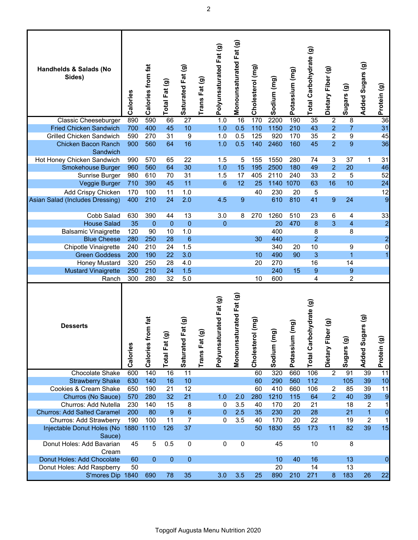| Handhelds & Salads (No<br>Sides)                 | Calories   | Calories from fat | Total Fat (g) | Saturated Fat (g)  | Trans Fat (g) | Polyunsaturated Fat (g)     | Monounsaturated Fat (g)     | Cholesterol (mg)    | Sodium (mg) | Potassium (mg)    | Total Carbohydrate (g) | Dietary Fiber (g)     | Sugars (g)              | Added Sugars (g)     | Protein (g)             |
|--------------------------------------------------|------------|-------------------|---------------|--------------------|---------------|-----------------------------|-----------------------------|---------------------|-------------|-------------------|------------------------|-----------------------|-------------------------|----------------------|-------------------------|
| <b>Classic Cheeseburger</b>                      | 890        | 590               | 66            | $\overline{27}$    |               | 1.0                         | $\overline{16}$             | 170                 | 2200        | 190               | $\overline{35}$        | $\overline{2}$        | $\overline{8}$          |                      | 36                      |
| <b>Fried Chicken Sandwich</b>                    | 700        | 400               | 45            | 10                 |               | 1.0                         | 0.5                         | 110                 | 1150        | 210               | 43                     | $\overline{2}$        | $\overline{7}$          |                      | 31                      |
| <b>Grilled Chicken Sandwich</b>                  | 590        | 270               | 31            | 9                  |               | 1.0                         | 0.5                         | 125                 | 920         | 170               | 35                     | $\overline{2}$        | 9                       |                      | 45                      |
| <b>Chicken Bacon Ranch</b><br>Sandwich           | 900        | 560               | 64            | 16                 |               | 1.0                         | 0.5                         | 140                 | 2460        | 160               | 45                     | $\overline{2}$        | 9                       |                      | 36                      |
| Hot Honey Chicken Sandwich                       | 990        | 570               | 65            | 22                 |               | 1.5                         | 5                           | 155                 | 1550        | 280               | 74                     | 3                     | 37                      | 1                    | 31                      |
| <b>Smokehouse Burger</b>                         | 960        | 560               | 64            | 30                 |               | 1.0                         | 15                          | 195                 | 2500        | 180               | 49                     | $\overline{2}$        | 20                      |                      | 46                      |
| Sunrise Burger                                   | 980        | 610               | 70            | 31                 |               | 1.5                         | 17                          | 405                 | 2110        | 240               | 33                     | $\overline{c}$        | 5                       |                      | 52                      |
| Veggie Burger                                    | 710        | 390               | 45            | 11                 |               | 6                           | 12                          | 25                  | 1140 1070   |                   | 63                     | 16                    | 10                      |                      | 24                      |
| Add Crispy Chicken                               | 170        | 100               | 11            | 1.0                |               |                             |                             | 40                  | 230         | 20                | 5                      |                       |                         |                      | 12                      |
| Asian Salad (Includes Dressing)                  | 400        | 210               | 24            | 2.0                |               | 4.5                         | $9\,$                       |                     | 610         | 810               | 41                     | $\boldsymbol{9}$      | 24                      |                      | $\overline{9}$          |
| Cobb Salad                                       | 630        | 390               | 44            | 13                 |               | 3.0                         | 8                           | 270                 | 1260        | 510               | 23                     | 6                     | 4                       |                      | 33                      |
| <b>House Salad</b>                               | 35         | $\overline{0}$    | $\mathbf{0}$  | $\mathbf 0$        |               | $\mathbf{0}$                |                             |                     | 20          | 470               | 8                      | 3                     | $\overline{\mathbf{4}}$ |                      | $\overline{a}$          |
| <b>Balsamic Vinaigrette</b>                      | 120        | 90                | 10            | 1.0                |               |                             |                             |                     | 400         |                   | 8                      |                       | 8                       |                      |                         |
| <b>Blue Cheese</b>                               | 280        | 250               | 28            | 6                  |               |                             |                             | 30                  | 440         |                   | $\overline{2}$         |                       |                         |                      | $\overline{\mathbf{c}}$ |
| Chipotle Vinaigrette                             | 240        | 210               | 24            | 1.5                |               |                             |                             |                     | 340         | 20                | 10                     |                       | 9                       |                      | $\pmb{0}$               |
| <b>Green Goddess</b>                             | 200        | 190               | 22            | 3.0                |               |                             |                             | 10                  | 490         | 90                | 3                      |                       | $\overline{1}$          |                      | 1                       |
| <b>Honey Mustard</b>                             | 320        | 250               | 28            | 4.0                |               |                             |                             | 20                  | 270         |                   | 16                     |                       | 14                      |                      |                         |
| <b>Mustard Vinaigrette</b>                       | 250        | 210               | 24            | 1.5                |               |                             |                             |                     | 240         | 15                | 9                      |                       | 9                       |                      |                         |
| Ranch                                            | 300        | 280               | 32            | 5.0                |               |                             |                             | 10                  | 600         |                   | 4                      |                       | $\overline{c}$          |                      |                         |
| <b>Desserts</b>                                  | Calories   | Calories from fat | Total Fat (g  | at(9)<br>Saturated | Trans Fat (g  | rated Fat (g)<br>Polyunsatu | urated Fat (g)<br>Monounsat | (mg)<br>Cholesterol | Sodium (m   | (mg)<br>Potassium | Total Carbohydrate (g) | er (g)<br>Dietary Fib | Sugars (g)              | ars (g)<br>Added Sug | Protein (g)             |
| <b>Chocolate Shake</b>                           | 600        | 140               | 16            | $\overline{11}$    |               |                             |                             | 60                  | 320         | 660               | 106                    | $\overline{2}$        | 91                      | 39                   | 11                      |
| <b>Strawberry Shake</b><br>Cookies & Cream Shake | 630        | 140               | 16            | 10                 |               |                             |                             | 60<br>60            | 290         | 560               | 112                    |                       | 105                     | 39                   | 10                      |
| Churros (No Sauce)                               | 650<br>570 | 190<br>280        | 21<br>32      | 12<br>21           |               | 1.0                         | 2.0                         | 280                 | 410<br>1210 | 660<br>115        | 106<br>64              | 2<br>2                | 85<br>40                | 39<br>39             | 11                      |
| Churros: Add Nutella                             | 230        | 140               | 15            | 8                  |               | 0                           | 3.5                         | 40                  | 170         | 20                | 21                     |                       | 18                      | $\overline{c}$       | 9<br>$\mathbf{1}$       |
| <b>Churros: Add Salted Caramel</b>               | 200        | 80                | 9             | $6\phantom{1}$     |               | $\pmb{0}$                   | 2.5                         | 35                  | 230         | 20                | 28                     |                       | 21                      | $\overline{1}$       | $\mathbf 0$             |
| Churros: Add Strawberry                          | 190        | 100               | 11            | $\overline{7}$     |               | 0                           | 3.5                         | 40                  | 170         | 20                | 22                     |                       | 19                      | $\overline{c}$       | $\mathbf 1$             |
| Injectable Donut Holes (No 1880 1110<br>Sauce)   |            |                   | 126           | 37                 |               |                             |                             | 50                  | 1830        | 55                | 173                    | 11                    | 82                      | 39                   | 15                      |
| Donut Holes: Add Bavarian<br>Cream               | 45         | 5                 | 0.5           | 0                  |               | 0                           | $\pmb{0}$                   |                     | 45          |                   | 10                     |                       | 8                       |                      |                         |
| Donut Holes: Add Chocolate                       | 60         | $\mathbf{0}$      | $\mathbf{0}$  | $\overline{0}$     |               |                             |                             |                     | 10          | 40                | 16                     |                       | 13                      |                      | 0                       |
| Donut Holes: Add Raspberry                       | 50         |                   |               |                    |               |                             |                             |                     | 20          |                   | 14                     |                       | 13                      |                      |                         |
| S'mores Dip 1840                                 |            | 690               | 78            | 35                 |               | 3.0                         | 3.5                         | 25                  | 890         | 210               | 271                    | $\bf 8$               | 183                     | 26                   | 22                      |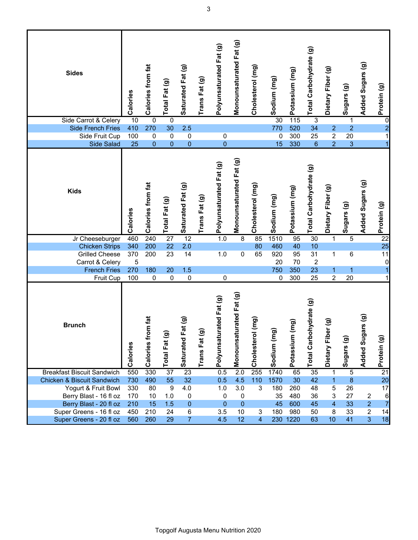| <b>Sides</b>                                       | Calories   | Calories from fat             | Total Fat (g)    | Saturated Fat (g)   | Trans Fat (g) | Polyunsaturated Fat (g) | Monounsaturated Fat (g) | Cholesterol (mg)             | Sodium (mg)    | Potassium (mg)    | Total Carbohydrate (g) | Dietary Fiber (g)        | Sugars (g)     | Added Sugars (g)        | Protein (g)             |
|----------------------------------------------------|------------|-------------------------------|------------------|---------------------|---------------|-------------------------|-------------------------|------------------------------|----------------|-------------------|------------------------|--------------------------|----------------|-------------------------|-------------------------|
| Side Carrot & Celery                               | 10         | $\pmb{0}$                     | 0                |                     |               |                         |                         |                              | 30             | 115               | 3                      |                          | $\mathbf 1$    |                         | $\overline{0}$          |
| <b>Side French Fries</b>                           | 410        | 270                           | 30               | 2.5                 |               |                         |                         |                              | 770            | 520               | 34                     | $\overline{2}$           | $\overline{2}$ |                         | $\overline{\mathbf{c}}$ |
| Side Fruit Cup                                     | 100        | 0                             | $\pmb{0}$        | 0                   |               | $\pmb{0}$               |                         |                              | 0              | 300               | 25                     | $\overline{c}$           | 20             |                         | 1                       |
| <b>Side Salad</b>                                  | 25         | $\pmb{0}$                     | $\mathbf{0}$     | $\mathbf{0}$        |               | $\overline{0}$          |                         |                              | 15             | 330               | 6                      | $\overline{2}$           | 3              |                         | $\overline{1}$          |
| <b>Kids</b>                                        | Calories   | Calories from fat             | Total Fat (g)    | Saturated Fat (g)   | Trans Fat (g) | Polyunsaturated Fat (g) | Monounsaturated Fat (g) | Cholesterol (mg)             | Sodium (mg)    | Potassium (mg)    | Total Carbohydrate (g) | Dietary Fiber (g)        | Sugars (g)     | Added Sugars (g)        | Protein (g)             |
| Jr Cheeseburger                                    | 460        | 240                           | $\overline{27}$  | $\overline{12}$     |               | 1.0                     | 8                       | 85                           | 1510           | 95                | 30                     | 1                        | $\overline{5}$ |                         | $\overline{22}$         |
| <b>Chicken Strips</b>                              | 340        | 200                           | 22               | 2.0                 |               |                         |                         | 80                           | 460            | 40                | 10                     |                          |                |                         | 25                      |
| <b>Grilled Cheese</b>                              | 370        | 200                           | 23               | 14                  |               | 1.0                     | 0                       | 65                           | 920            | 95                | 31                     | 1                        | 6              |                         | 11                      |
| Carrot & Celery                                    | 5          |                               |                  |                     |               |                         |                         |                              | 20             | 70                | $\overline{2}$         |                          |                |                         | $\boldsymbol{0}$        |
| <b>French Fries</b>                                | 270        | 180                           | 20               | 1.5                 |               |                         |                         |                              | 750            | 350               | 23                     | 1.                       | 1              |                         |                         |
| Fruit Cup                                          | 100        | 0                             | $\pmb{0}$        | $\pmb{0}$           |               | $\pmb{0}$               |                         |                              | 0              | 300               | 25                     | $\overline{c}$           | 20             |                         | 1                       |
| <b>Brunch</b>                                      | Calories   | <b>im</b> fat<br>Calories fro | Total Fat (g     | at (g)<br>Saturated | Trans Fat (g) | Polyunsaturated Fat (g) | Monounsaturated Fat (g) | (mg)<br>Cholesterol          | ଚ<br>Sodium (m | (mg)<br>Potassium | Total Carbohydrate (g) | er (g)<br>Eib<br>Dietary | ම<br>Sugars    | ars (g)<br>Sug<br>Added | Protein (g)             |
| <b>Breakfast Biscuit Sandwich</b>                  | 550        | 330                           | 37               | 23                  |               | 0.5                     | 2.0                     | 255                          | 1740           | 65                | 35                     | $\mathbf{1}$             | $\overline{5}$ |                         | $\overline{21}$         |
|                                                    |            |                               |                  |                     |               |                         |                         |                              |                |                   |                        |                          |                |                         |                         |
| Chicken & Biscuit Sandwich                         | 730        | 490                           | 55               | 32                  |               | 0.5                     | 4.5                     | 110                          | 1570           | 30                | 42                     | $\mathbf{1}$             | $\bf 8$        |                         | 20                      |
| Yogurt & Fruit Bowl                                | 330        | 80                            | $\boldsymbol{9}$ | 4.0                 |               | 1.0                     | 3.0                     | 3                            | 180            | 260               | 48                     | 5                        | 26             |                         | 17                      |
| Berry Blast - 16 fl oz                             | 170        | 10                            | 1.0              | 0                   |               | 0                       | 0                       |                              | 35             | 480               | 36                     | 3                        | 27             | 2                       | 6                       |
| Berry Blast - 20 fl oz                             | 210        | 15                            | 1.5              | 0                   |               | 0                       | $\mathbf 0$             |                              | 45             | 600               | 45                     | $\overline{4}$           | 33             | $\overline{2}$          | $\overline{7}$          |
| Super Greens - 16 fl oz<br>Super Greens - 20 fl oz | 450<br>560 | 210<br>260                    | 24<br>29         | 6<br>$\overline{7}$ |               | 3.5<br>4.5              | 10<br>12                | 3<br>$\overline{\mathbf{4}}$ | 180            | 980<br>230 1220   | 50<br>63               | 8<br>10 <sub>1</sub>     | 33<br>41       | $\overline{c}$<br>3     | 14<br>18                |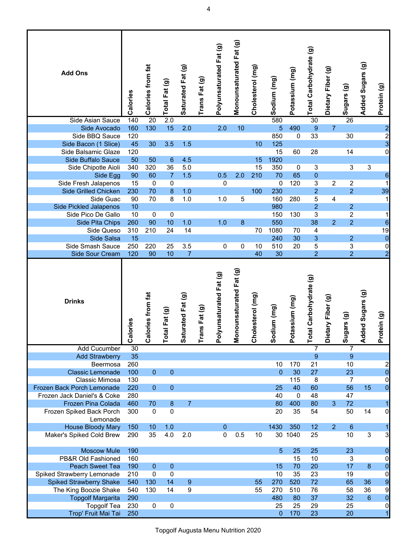| <b>Add Ons</b>                             | Calories            | Calories from fat                | Total Fat (g)           | Saturated Fat (g) | Trans Fat (g)      | Polyunsaturated Fat (g)           | Monounsaturated Fat (g)                 | Cholesterol (mg)     | Sodium (mg)     | Potassium (mg)     | Total Carbohydrate (g) | Dietary Fiber (g) | Sugars (g)       | Added Sugars (g)    | Protein (g)             |
|--------------------------------------------|---------------------|----------------------------------|-------------------------|-------------------|--------------------|-----------------------------------|-----------------------------------------|----------------------|-----------------|--------------------|------------------------|-------------------|------------------|---------------------|-------------------------|
| Side Asian Sauce                           | 140                 | 20                               | 2.0                     |                   |                    |                                   |                                         |                      | 580             |                    | 30                     |                   | 26               |                     |                         |
| Side Avocado                               | 160                 | 130                              | 15                      | 2.0               |                    | 2.0                               | 10                                      |                      | $\overline{5}$  | 490                | $\boldsymbol{9}$       | $\overline{7}$    |                  |                     | $\overline{\mathbf{c}}$ |
| Side BBQ Sauce                             | 120                 |                                  |                         |                   |                    |                                   |                                         |                      | 850             | 0                  | 33                     |                   | 30               |                     | $\frac{2}{3}$           |
| Side Bacon (1 Slice)                       | 45                  | 30                               | 3.5                     | 1.5               |                    |                                   |                                         | 10                   | 125             |                    |                        |                   |                  |                     |                         |
| Side Balsamic Glaze                        | 120                 |                                  |                         |                   |                    |                                   |                                         |                      | 15              | 60                 | 28                     |                   | 14               |                     | $\overline{0}$          |
| Side Buffalo Sauce                         | 50                  | 50                               | 6                       | 4.5               |                    |                                   |                                         | 15                   | 1920            |                    |                        |                   |                  |                     |                         |
| Side Chipotle Aioli                        | 340                 | 320                              | 36                      | 5.0               |                    |                                   |                                         | 15                   | 350             | $\mathbf 0$        | 3                      |                   | 3                | 3                   |                         |
| Side Egg                                   | 90                  | 60                               | $\overline{7}$          | 1.5               |                    | 0.5                               | 2.0                                     | 210                  | 70              | 65                 | 0                      |                   |                  |                     | $\,$ 6 $\,$             |
| Side Fresh Jalapenos                       | 15                  | 0                                | 0                       |                   |                    | 0                                 |                                         |                      | $\mathbf 0$     | 120                | 3                      | 2                 | $\boldsymbol{2}$ |                     | 1                       |
| Side Grilled Chicken                       | 230                 | 70<br>70                         | 8                       | 1.0               |                    |                                   |                                         | 100                  | 230             |                    | $\overline{2}$         |                   | $\overline{2}$   |                     | 39                      |
| Side Guac<br><b>Side Pickled Jalapenos</b> | 90<br>10            |                                  | $\overline{8}$          | 1.0               |                    | 1.0                               | 5                                       |                      | 160<br>980      | 280                | 5<br>$\overline{2}$    | 4                 | $\overline{2}$   |                     | $\mathbf 1$             |
| Side Pico De Gallo                         | 10                  | $\pmb{0}$                        | $\pmb{0}$               |                   |                    |                                   |                                         |                      | 150             | 130                | 3                      |                   | $\overline{2}$   |                     | $\mathbf 1$             |
| Side Pita Chips                            | 260                 | 90                               | 10                      | 1.0               |                    | 1.0                               | 8                                       |                      | 550             |                    | 38                     | $\overline{2}$    | $\overline{2}$   |                     | $\mathbf 6$             |
| Side Queso                                 | 310                 | 210                              | 24                      | 14                |                    |                                   |                                         | 70                   | 1080            | 70                 | 4                      |                   |                  |                     | 19                      |
| Side Salsa                                 | 15                  |                                  |                         |                   |                    |                                   |                                         |                      | 240             | 30                 | $\mathbf{3}$           |                   | $\overline{2}$   |                     | $\mathbf 0$             |
| Side Smash Sauce                           | 250                 | 220                              | 25                      | 3.5               |                    | 0                                 | 0                                       | 10                   | 510             | 20                 | 5                      |                   | 3                |                     | $\pmb{0}$               |
| Side Sour Cream                            | 120                 | 90                               | 10                      | $\overline{7}$    |                    |                                   |                                         | 40                   | 30              |                    | $\overline{2}$         |                   | $\overline{2}$   |                     | $\overline{a}$          |
|                                            |                     |                                  |                         |                   |                    |                                   |                                         |                      |                 |                    |                        |                   |                  |                     |                         |
| <b>Drinks</b>                              | lories<br>$\bar{e}$ | ories from fat<br>$\overline{c}$ | al Fat (g)<br>$\vec{P}$ | Saturated Fat (g) | ns Fat (g)<br>Trai | yunsaturated Fat (g)<br><b>Po</b> | nounsaturated Fat (g)<br>$\overline{M}$ | olesterol (mg)<br>ర్ | Sodium (mg)     | (m) unissa:<br>Pot | Total Carbohydrate (g) | Dietary Fiber (g) | Sugars (g)       | ded Sugars (g)<br>Ř | Protein (g)             |
| <b>Add Cucumber</b>                        | 30                  |                                  |                         |                   |                    |                                   |                                         |                      |                 |                    | $\overline{7}$         |                   | $\overline{7}$   |                     |                         |
| <b>Add Strawberry</b>                      | 35                  |                                  |                         |                   |                    |                                   |                                         |                      |                 |                    | 9                      |                   | 9                |                     |                         |
| Beermosa                                   | 260                 |                                  |                         |                   |                    |                                   |                                         |                      | 10              | 170                | 21                     |                   | 10               |                     | $\overline{c}$          |
| <b>Classic Lemonade</b>                    | 100                 | $\mathbf{0}$                     | $\mathsf{O}\xspace$     |                   |                    |                                   |                                         |                      | $\Omega$        | 30                 | 27                     |                   | 23               |                     | $\mathbf 0$             |
| Classic Mimosa                             | 130                 |                                  |                         |                   |                    |                                   |                                         |                      |                 | 115                | 8                      |                   | 7                |                     | $\boldsymbol{0}$        |
| Frozen Back Porch Lemonade                 | 220                 | $\mathbf{0}$                     | $\mathsf{O}\xspace$     |                   |                    |                                   |                                         |                      | 25              | 40                 | 60                     |                   | 56               | 15                  | $\overline{0}$          |
| Frozen Jack Daniel's & Coke                | 280                 |                                  |                         |                   |                    |                                   |                                         |                      | 40              | $\pmb{0}$          | 48                     |                   | 47               |                     |                         |
| Frozen Pina Colada                         | 460                 | 70                               | $\bf 8$                 | $\overline{7}$    |                    |                                   |                                         |                      | 80              | 400                | 80                     | 3                 | 72               |                     | 1                       |
| Frozen Spiked Back Porch                   | 300                 | $\overline{0}$                   | $\overline{0}$          |                   |                    |                                   |                                         |                      | 20              | 35                 | 54                     |                   | 50               | 14                  | $\overline{0}$          |
| Lemonade                                   |                     |                                  |                         |                   |                    |                                   |                                         |                      |                 |                    |                        |                   |                  |                     |                         |
| <b>House Bloody Mary</b>                   | 150                 | 10                               | 1.0                     |                   |                    | $\mathbf{0}$                      |                                         |                      | 1430            | 350                | 12                     | $\overline{2}$    | $6\phantom{1}6$  |                     | $\mathbf{1}$            |
| Maker's Spiked Cold Brew                   | 290                 | 35                               | 4.0                     | 2.0               |                    | $\overline{0}$                    | 0.5                                     | 10                   | 30              | 1040               | 25                     |                   | 10               | 3                   | $\overline{3}$          |
| <b>Moscow Mule</b>                         | 190                 |                                  |                         |                   |                    |                                   |                                         |                      | 5               | 25                 | 25                     |                   | 23               |                     | $\mathbf 0$             |
| PB&R Old Fashioned                         | 160                 |                                  |                         |                   |                    |                                   |                                         |                      |                 | 15                 | 10                     |                   | 3                |                     | 0                       |
| Peach Sweet Tea                            | 190                 | $\mathbf 0$                      | $\mathbf 0$             |                   |                    |                                   |                                         |                      | 15              | 70                 | 20                     |                   | 17               | $\boldsymbol{8}$    | $\mathbf 0$             |
| Spiked Strawberry Lemonade                 | 210                 | 0                                | $\mathbf 0$             |                   |                    |                                   |                                         |                      | 10              | 35                 | 23                     |                   | 19               |                     | $\mathbf 0$             |
| <b>Spiked Strawberry Shake</b>             | 540                 | 130                              | 14                      | $9\,$             |                    |                                   |                                         | 55                   | 270             | 520                | 72                     |                   | 65               | 36                  | 9                       |
| The King Boozie Shake                      | 540                 | 130                              | 14                      | 9                 |                    |                                   |                                         | 55                   | 270             | 510                | 76                     |                   | 58               | 36                  | $\overline{9}$          |
| <b>Topgolf Margarita</b>                   | 290                 |                                  |                         |                   |                    |                                   |                                         |                      | 480             | 80                 | 37                     |                   | 32               | $6\phantom{1}6$     | $\mathbf 0$             |
| <b>Topgolf Tea</b><br>Trop' Fruit Mai Tai  | 230<br>250          | $\pmb{0}$                        | 0                       |                   |                    |                                   |                                         |                      | 25<br>$\pmb{0}$ | 25<br>170          | 29<br>23               |                   | 25<br>20         |                     | $\pmb{0}$<br>1          |

Topgolf Augusta Menu Nutrition 2020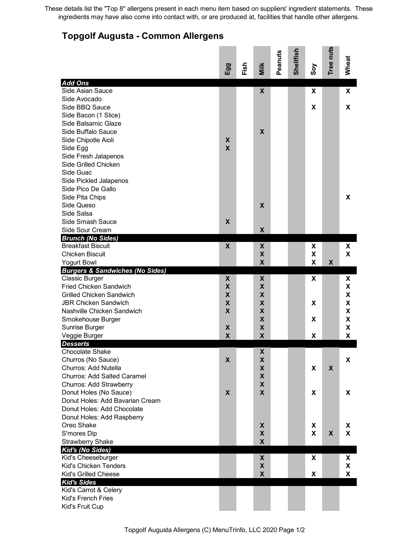These details list the "Top 8" allergens present in each menu item based on suppliers' ingredient statements. These ingredients may have also come into contact with, or are produced at, facilities that handle other allergens.

## **Topgolf Augusta - Common Allergens**

|                                                                  | Egg                       | Fish | Milk                      | Peanuts | Shellfish | Soy | Tree nuts                 | Wheat |
|------------------------------------------------------------------|---------------------------|------|---------------------------|---------|-----------|-----|---------------------------|-------|
| <b>Add Ons</b>                                                   |                           |      |                           |         |           |     |                           |       |
| Side Asian Sauce                                                 |                           |      | X                         |         |           | X   |                           | X     |
| Side Avocado                                                     |                           |      |                           |         |           |     |                           |       |
| Side BBQ Sauce                                                   |                           |      |                           |         |           | X   |                           | X     |
| Side Bacon (1 Slice)                                             |                           |      |                           |         |           |     |                           |       |
| Side Balsamic Glaze                                              |                           |      |                           |         |           |     |                           |       |
| Side Buffalo Sauce                                               |                           |      | $\boldsymbol{X}$          |         |           |     |                           |       |
| Side Chipotle Aioli                                              | X                         |      |                           |         |           |     |                           |       |
| Side Egg                                                         | $\boldsymbol{\mathsf{X}}$ |      |                           |         |           |     |                           |       |
| Side Fresh Jalapenos                                             |                           |      |                           |         |           |     |                           |       |
| Side Grilled Chicken                                             |                           |      |                           |         |           |     |                           |       |
| Side Guac                                                        |                           |      |                           |         |           |     |                           |       |
| Side Pickled Jalapenos                                           |                           |      |                           |         |           |     |                           |       |
| Side Pico De Gallo                                               |                           |      |                           |         |           |     |                           |       |
| Side Pita Chips                                                  |                           |      |                           |         |           |     |                           | X     |
| Side Queso                                                       |                           |      | $\boldsymbol{X}$          |         |           |     |                           |       |
| Side Salsa                                                       |                           |      |                           |         |           |     |                           |       |
| Side Smash Sauce                                                 | X                         |      |                           |         |           |     |                           |       |
| Side Sour Cream                                                  |                           |      | $\boldsymbol{\mathsf{X}}$ |         |           |     |                           |       |
| <b>Brunch (No Sides)</b><br><b>Breakfast Biscuit</b>             | $\boldsymbol{\mathsf{X}}$ |      | X                         |         |           | X   |                           | X     |
| <b>Chicken Biscuit</b>                                           |                           |      | $\mathbf x$               |         |           | X   |                           | X     |
|                                                                  |                           |      | $\mathbf x$               |         |           | X   | $\boldsymbol{\mathsf{X}}$ |       |
| <b>Yogurt Bowl</b><br><b>Burgers &amp; Sandwiches (No Sides)</b> |                           |      |                           |         |           |     |                           |       |
| <b>Classic Burger</b>                                            | X                         |      | X                         |         |           | X   |                           | X     |
| <b>Fried Chicken Sandwich</b>                                    | $\pmb{\mathsf{X}}$        |      | X                         |         |           |     |                           | X     |
| <b>Grilled Chicken Sandwich</b>                                  | $\boldsymbol{\mathsf{x}}$ |      | X                         |         |           |     |                           | X     |
| <b>JBR Chicken Sandwich</b>                                      | X                         |      | X                         |         |           | X   |                           | X     |
| Nashville Chicken Sandwich                                       | X                         |      | X                         |         |           |     |                           | X     |
| Smokehouse Burger                                                |                           |      | X                         |         |           | X   |                           | X     |
| Sunrise Burger                                                   | X                         |      | X                         |         |           |     |                           | X     |
| Veggie Burger                                                    | $\boldsymbol{X}$          |      | $\boldsymbol{\mathsf{X}}$ |         |           | X   |                           | χ     |
| <b>Desserts</b>                                                  |                           |      |                           |         |           |     |                           |       |
| <b>Chocolate Shake</b>                                           |                           |      | Χ                         |         |           |     |                           |       |
| Churros (No Sauce)                                               | X                         |      | X                         |         |           |     |                           | X     |
| Churros: Add Nutella                                             |                           |      | X                         |         |           | X   | X                         |       |
| <b>Churros: Add Salted Caramel</b>                               |                           |      | X                         |         |           |     |                           |       |
| Churros: Add Strawberry                                          |                           |      | X                         |         |           |     |                           |       |
| Donut Holes (No Sauce)                                           | X                         |      | X                         |         |           | X   |                           | X     |
| Donut Holes: Add Bavarian Cream                                  |                           |      |                           |         |           |     |                           |       |
| Donut Holes: Add Chocolate                                       |                           |      |                           |         |           |     |                           |       |
| Donut Holes: Add Raspberry                                       |                           |      |                           |         |           |     |                           |       |
| Oreo Shake                                                       |                           |      | X                         |         |           | X   |                           | X     |
| S'mores Dip                                                      |                           |      | X                         |         |           | X   | X                         | X     |
| <b>Strawberry Shake</b>                                          |                           |      | X                         |         |           |     |                           |       |
| Kid's (No Sides)                                                 |                           |      |                           |         |           |     |                           |       |
| Kid's Cheeseburger                                               |                           |      | X                         |         |           | X   |                           | X     |
| Kid's Chicken Tenders                                            |                           |      | $\pmb{\mathsf{X}}$        |         |           |     |                           | X     |
| Kid's Grilled Cheese                                             |                           |      | X                         |         |           | X   |                           | X     |
| <b>Kid's Sides</b>                                               |                           |      |                           |         |           |     |                           |       |
| Kid's Carrot & Celery                                            |                           |      |                           |         |           |     |                           |       |
| Kid's French Fries                                               |                           |      |                           |         |           |     |                           |       |
| Kid's Fruit Cup                                                  |                           |      |                           |         |           |     |                           |       |

Topgolf Augusta Allergens (C) MenuTrinfo, LLC 2020 Page 1/2